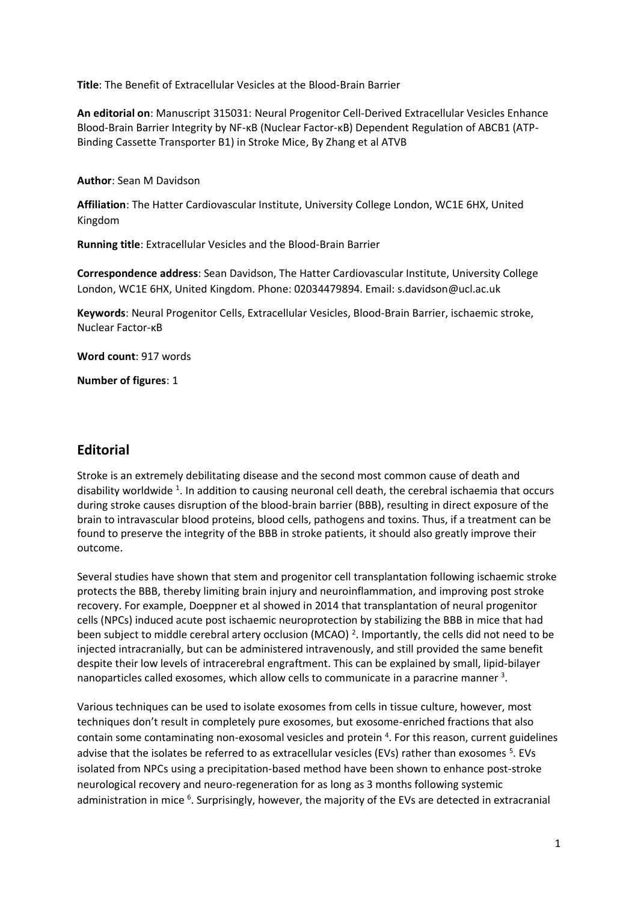**Title**: The Benefit of Extracellular Vesicles at the Blood-Brain Barrier

**An editorial on**: Manuscript 315031: Neural Progenitor Cell-Derived Extracellular Vesicles Enhance Blood-Brain Barrier Integrity by NF-κB (Nuclear Factor-κB) Dependent Regulation of ABCB1 (ATP-Binding Cassette Transporter B1) in Stroke Mice, By Zhang et al ATVB

**Author**: Sean M Davidson

**Affiliation**: The Hatter Cardiovascular Institute, University College London, WC1E 6HX, United Kingdom

**Running title**: Extracellular Vesicles and the Blood-Brain Barrier

**Correspondence address**: Sean Davidson, The Hatter Cardiovascular Institute, University College London, WC1E 6HX, United Kingdom. Phone: 02034479894. Email: s.davidson@ucl.ac.uk

**Keywords**: Neural Progenitor Cells, Extracellular Vesicles, Blood-Brain Barrier, ischaemic stroke, Nuclear Factor-κB

**Word count**: 917 words

**Number of figures**: 1

## **Editorial**

Stroke is an extremely debilitating disease and the second most common cause of death and disability worldwide <sup>1</sup>. In addition to causing neuronal cell death, the cerebral ischaemia that occurs during stroke causes disruption of the blood-brain barrier (BBB), resulting in direct exposure of the brain to intravascular blood proteins, blood cells, pathogens and toxins. Thus, if a treatment can be found to preserve the integrity of the BBB in stroke patients, it should also greatly improve their outcome.

Several studies have shown that stem and progenitor cell transplantation following ischaemic stroke protects the BBB, thereby limiting brain injury and neuroinflammation, and improving post stroke recovery. For example, Doeppner et al showed in 2014 that transplantation of neural progenitor cells (NPCs) induced acute post ischaemic neuroprotection by stabilizing the BBB in mice that had been subject to middle cerebral artery occlusion (MCAO)<sup>2</sup>. Importantly, the cells did not need to be injected intracranially, but can be administered intravenously, and still provided the same benefit despite their low levels of intracerebral engraftment. This can be explained by small, lipid-bilayer nanoparticles called exosomes, which allow cells to communicate in a paracrine manner <sup>3</sup>.

Various techniques can be used to isolate exosomes from cells in tissue culture, however, most techniques don't result in completely pure exosomes, but exosome-enriched fractions that also contain some contaminating non-exosomal vesicles and protein <sup>4</sup>. For this reason, current guidelines advise that the isolates be referred to as extracellular vesicles (EVs) rather than exosomes <sup>5</sup>. EVs isolated from NPCs using a precipitation-based method have been shown to enhance post-stroke neurological recovery and neuro-regeneration for as long as 3 months following systemic administration in mice <sup>6</sup>. Surprisingly, however, the majority of the EVs are detected in extracranial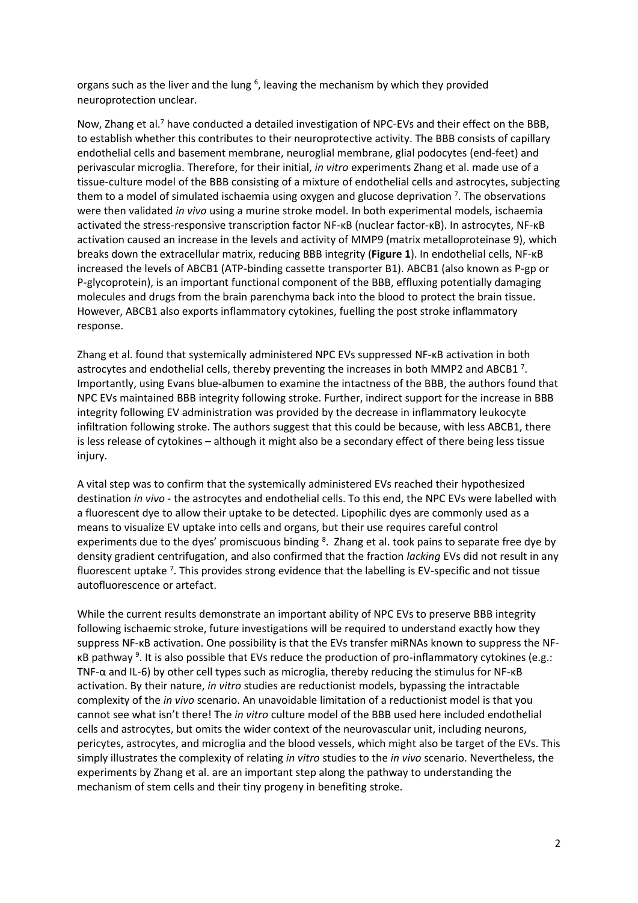organs such as the liver and the lung  $6$ , leaving the mechanism by which they provided neuroprotection unclear.

Now, Zhang et al.<sup>7</sup> have conducted a detailed investigation of NPC-EVs and their effect on the BBB, to establish whether this contributes to their neuroprotective activity. The BBB consists of capillary endothelial cells and basement membrane, neuroglial membrane, glial podocytes (end-feet) and perivascular microglia. Therefore, for their initial, *in vitro* experiments Zhang et al. made use of a tissue-culture model of the BBB consisting of a mixture of endothelial cells and astrocytes, subjecting them to a model of simulated ischaemia using oxygen and glucose deprivation  $7$ . The observations were then validated *in vivo* using a murine stroke model. In both experimental models, ischaemia activated the stress-responsive transcription factor NF-κB (nuclear factor-κB). In astrocytes, NF-κB activation caused an increase in the levels and activity of MMP9 (matrix metalloproteinase 9), which breaks down the extracellular matrix, reducing BBB integrity (**Figure 1**). In endothelial cells, NF-κB increased the levels of ABCB1 (ATP-binding cassette transporter B1). ABCB1 (also known as P-gp or P-glycoprotein), is an important functional component of the BBB, effluxing potentially damaging molecules and drugs from the brain parenchyma back into the blood to protect the brain tissue. However, ABCB1 also exports inflammatory cytokines, fuelling the post stroke inflammatory response.

Zhang et al. found that systemically administered NPC EVs suppressed NF-κB activation in both astrocytes and endothelial cells, thereby preventing the increases in both MMP2 and ABCB1<sup>7</sup>. Importantly, using Evans blue-albumen to examine the intactness of the BBB, the authors found that NPC EVs maintained BBB integrity following stroke. Further, indirect support for the increase in BBB integrity following EV administration was provided by the decrease in inflammatory leukocyte infiltration following stroke. The authors suggest that this could be because, with less ABCB1, there is less release of cytokines – although it might also be a secondary effect of there being less tissue injury.

A vital step was to confirm that the systemically administered EVs reached their hypothesized destination *in vivo* - the astrocytes and endothelial cells. To this end, the NPC EVs were labelled with a fluorescent dye to allow their uptake to be detected. Lipophilic dyes are commonly used as a means to visualize EV uptake into cells and organs, but their use requires careful control experiments due to the dyes' promiscuous binding <sup>8</sup>. Zhang et al. took pains to separate free dye by density gradient centrifugation, and also confirmed that the fraction *lacking* EVs did not result in any fluorescent uptake  $7$ . This provides strong evidence that the labelling is EV-specific and not tissue autofluorescence or artefact.

While the current results demonstrate an important ability of NPC EVs to preserve BBB integrity following ischaemic stroke, future investigations will be required to understand exactly how they suppress NF-κB activation. One possibility is that the EVs transfer miRNAs known to suppress the NFκB pathway<sup>9</sup>. It is also possible that EVs reduce the production of pro-inflammatory cytokines (e.g.: TNF-α and IL-6) by other cell types such as microglia, thereby reducing the stimulus for NF-κB activation. By their nature, *in vitro* studies are reductionist models, bypassing the intractable complexity of the *in vivo* scenario. An unavoidable limitation of a reductionist model is that you cannot see what isn't there! The *in vitro* culture model of the BBB used here included endothelial cells and astrocytes, but omits the wider context of the neurovascular unit, including neurons, pericytes, astrocytes, and microglia and the blood vessels, which might also be target of the EVs. This simply illustrates the complexity of relating *in vitro* studies to the *in vivo* scenario. Nevertheless, the experiments by Zhang et al. are an important step along the pathway to understanding the mechanism of stem cells and their tiny progeny in benefiting stroke.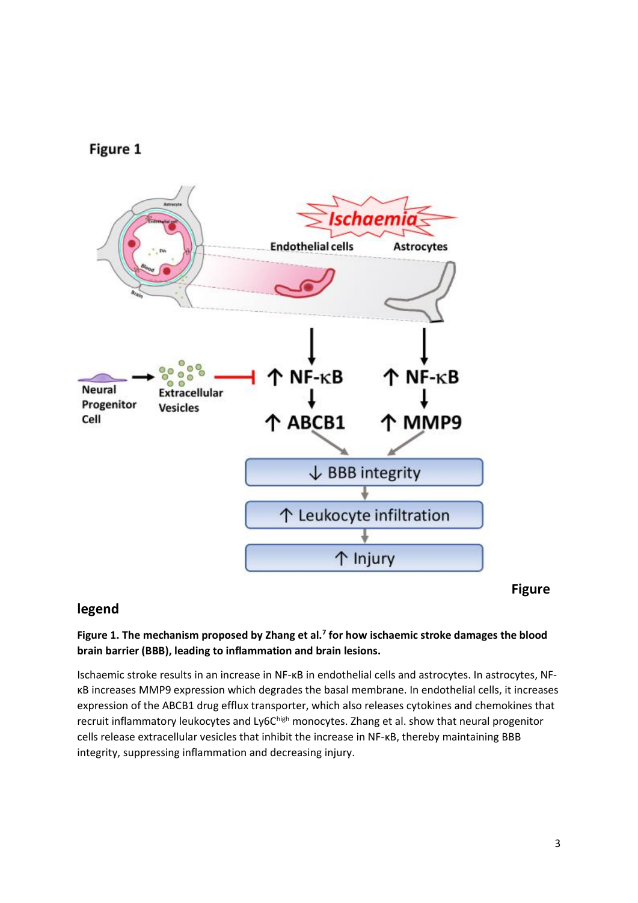



## **legend**

## **Figure 1. The mechanism proposed by Zhang et al.<sup>7</sup> for how ischaemic stroke damages the blood brain barrier (BBB), leading to inflammation and brain lesions.**

Ischaemic stroke results in an increase in NF-κB in endothelial cells and astrocytes. In astrocytes, NFκB increases MMP9 expression which degrades the basal membrane. In endothelial cells, it increases expression of the ABCB1 drug efflux transporter, which also releases cytokines and chemokines that recruit inflammatory leukocytes and Ly6Chigh monocytes. Zhang et al. show that neural progenitor cells release extracellular vesicles that inhibit the increase in NF-κB, thereby maintaining BBB integrity, suppressing inflammation and decreasing injury.